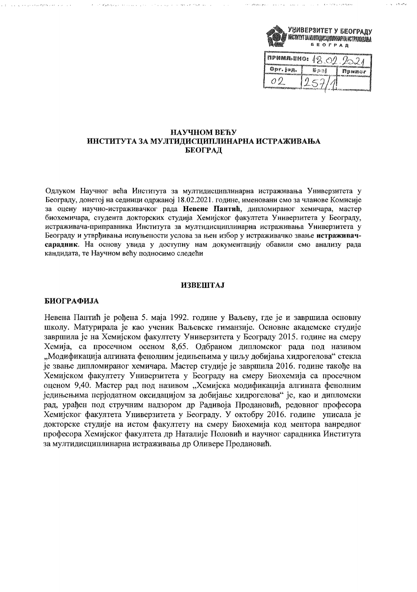

de de alta a superior como como como como como como

**Contract of Providence** 

# НАУЧНОМ ВЕЋУ ИНСТИТУТА ЗА МУЛТИДИСЦИПЛИНАРНА ИСТРАЖИВАЊА БЕОГРАД

الصائحيون الأوالدقة البدارة الرواوا والوالة

Одлуком Научног већа Института за мултидисциплинарна истраживања Универзитета у Београду, донетој на седници одржаној 18.02.2021. године, именовани смо за чланове Комисије за оцену научно-истраживачког рада Невене Пантић, дипломираног хемичара, мастер биохемичара, студента докторских студија Хемијског факултета Универзитета у Београду, истраживача-приправника Института за мултидисциплинарна истраживања Универзитета у Београду и утврђивања испуњености услова за њен избор у истраживачко звање истраживачсарадник. На основу увида у доступну нам документацију обавили смо анализу рада кандидата, те Научном већу подносимо следећи

# **ИЗВЕШТАЈ**

# БИОГРАФИЈА

and the state and state of the state

Невена Пантић је рођена 5. маја 1992. године у Ваљеву, где је и завршила основну школу. Матурирала је као ученик Ваљевске гиманзије. Основне акалемске студије завршила је на Хемијском факултету Универзитета у Београду 2015. године на смеру Хемија, са просечном осеном 8,65. Одбраном дипломског рада под називом "Модификација алгината фенолним једињењима у циљу добијања хидрогелова" стекла је звање дипломираног хемичара. Мастер студије је завршила 2016. године такође на Хемијском факултету Универзитета у Београду на смеру Биохемија са просечном оценом 9,40. Мастер рад под називом "Хемијска модификација алгината фенолним једињењима перјодатном оксидацијом за добијање хидрогелова" је, као и дипломски рад, урађен под стручним надзором др Радивоја Продановић, редовног професора Хемијског факултета Универзитета у Београду. У октобру 2016. године уписала је докторске студије на истом факултету на смеру Биохемија код ментора ванредног професора Хемијског факултета др Наталије Половић и научног сарадника Института за мултидисциплинарна истраживања др Оливере Продановић.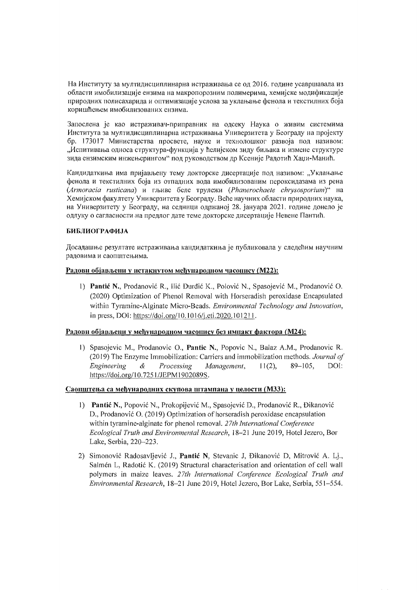На Институту за мултидисциплинарна истраживања се од 2016. године усавршавала из области имобилизације ензима на макропорозним полимерима, хемијске модификације природних полисахарида и оптимизације услова за уклањање фенола и текстилних боја коришћењем имобилизованих ензима.

Запослена је као истраживач-приправник на одсеку Наука о живим системима Института за мултидисциплинарна истраживања Универзитета у Београду на пројекту бр. 173017 Министарства просвете, науке и технолошког развоја под називом: "Испитивања односа структура-функција у ћелијском зиду биљака и измене структуре зида ензимским инжењерингом" под руководством др Ксеније Радотић Хаџи-Манић.

Кандидаткиња има пријављену тему докторске дисертације под називом: "Уклањање фенола и текстилних боја из отпалних вода имобилизованим пероксидазама из рена (Armoracia rusticana) и гљиве беле трулежи (Phanerochaete chrysosporium)" на Хемијском факултету Универзитета у Београду. Веће научних области природних наука, на Универзитету у Београду, на седници одржаној 28. јануара 2021. године донело је одлуку о сагласности на предлог дате теме докторске дисертације Невене Пантић.

# **БИБЛИОГРАФИЈА**

Досадашње резултате истраживања кандилаткиња је публиковала у следећим научним радовима и саопштењима.

## Радови објављени у истакнутом међународном часопису (М22):

1) Pantić N., Prodanović R., Ilić Đurđić K., Polović N., Spasojević M., Prodanović O. (2020) Optimization of Phenol Removal with Horseradish peroxidase Encapsulated within Tyramine-Alginate Micro-Beads. Environmental Technology and Innovation, in press, DOI: https://doi.org/10.1016/j.eti.2020.101211.

## Радови објављени у међународном часопису без импакт фактора (М24):

1) Spasojevic M., Prodanovic O., Pantic N., Popovic N., Balaz A.M., Prodanovic R. (2019) The Enzyme Immobilization: Carriers and immobilization methods. Journal of Engineering  $\mathcal{A}$ Processing Management.  $11(2)$ .  $89 - 105$ . DOI: https://doi.org/10.7251/JEPM1902089S.

## Саопштења са међународних скупова штампана у целости (МЗЗ):

- 1) Pantić N., Popović N., Prokopijević M., Spasojević D., Prodanović R., Đikanović D., Prodanović O. (2019) Optimization of horseradish peroxidase encapsulation within tyramine-alginate for phenol removal. 27th International Conference Ecological Truth and Environmental Research, 18-21 June 2019, Hotel Jezero, Bor Lake, Serbia, 220-223.
- 2) Simonović Radosavljević J., Pantić N, Stevanic J, Đikanović D, Mitrović A. Lj., Salmén L, Radotić K. (2019) Structural characterisation and orientation of cell wall polymers in maize leaves. 27th International Conference Ecological Truth and Environmental Research, 18-21 June 2019, Hotel Jezero, Bor Lake, Serbia, 551-554.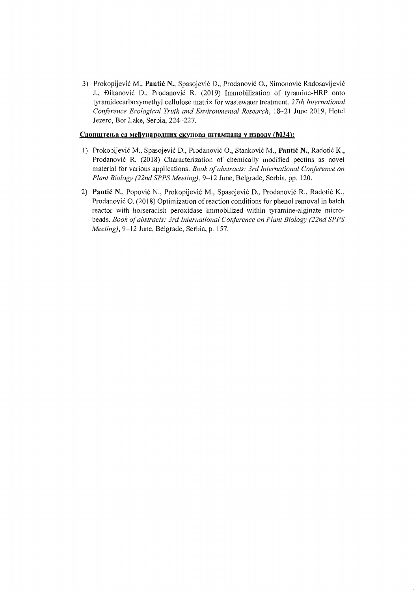3) Prokopijevic M., **Pantie** N., Spasojevic D., Prodanovic 0., Simonovic Radosavljevic J., Đikanović D., Prodanović R. (2019) Immobilization of tyramine-HRP onto tyramidecarboxymethyl cellulose matrix for wastewater treatment. *27th International Conference Ecological Truth and Environmental Research,* 18-21 June 2019, Hotel Jezero, Bor Lake, Serbia, 224-227.

## Саопштења са међународних скупова штампана у изводу (МЗ4):

- 1) Prokopijević M., Spasojević D., Prodanović O., Stanković M., Pantić N., Radotić K., Prodanovic R. (2018) Characterization of chemically modified pectins as novel material for various applications. *Book of abstracts: 3rd International Conference on Plant Biology (22nd SPPS Meeting),* 9-12 June, Belgrade, Serbia, pp. 120.
- 2) Pantić N., Popović N., Prokopijević M., Spasojević D., Prodanović R., Radotić K., Prodanović O. (2018) Optimization of reaction conditions for phenol removal in batch reactor with horseradish peroxidase immobilized within tyramine-alginate microbeads. *Book of abstracts: 3rd International Conference on Plant Biology (22nd SPPS Meeting),* 9-12 June, Belgrade, Serbia, p. J57.